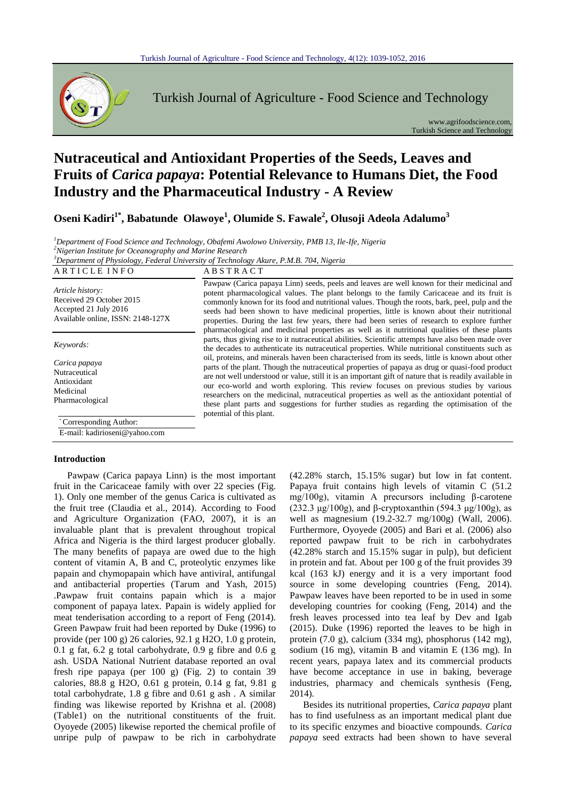

Turkish Journal of Agriculture - Food Science and Technology

www.agrifoodscience.com, Turkish Science and Technology

# **Nutraceutical and Antioxidant Properties of the Seeds, Leaves and Fruits of** *Carica papaya***: Potential Relevance to Humans Diet, the Food Industry and the Pharmaceutical Industry - A Review**

**Oseni Kadiri1\* , Babatunde Olawoye<sup>1</sup> , Olumide S. Fawale<sup>2</sup> , Olusoji Adeola Adalumo<sup>3</sup>**

*<sup>1</sup>Department of Food Science and Technology, Obafemi Awolowo University, PMB 13, Ile-Ife, Nigeria <sup>2</sup>Nigerian Institute for Oceanography and Marine Research*

*<sup>3</sup>Department of Physiology, Federal University of Technology Akure, P.M.B. 704, Nigeria*

| ARTICLE INFO                                                                                               | <b>ABSTRACT</b>                                                                                                                                                                                                                                                                                                                                                                                                                                                                                                                                                                                        |
|------------------------------------------------------------------------------------------------------------|--------------------------------------------------------------------------------------------------------------------------------------------------------------------------------------------------------------------------------------------------------------------------------------------------------------------------------------------------------------------------------------------------------------------------------------------------------------------------------------------------------------------------------------------------------------------------------------------------------|
| Article history:<br>Received 29 October 2015<br>Accepted 21 July 2016<br>Available online, ISSN: 2148-127X | Pawpaw (Carica papaya Linn) seeds, peels and leaves are well known for their medicinal and<br>potent pharmacological values. The plant belongs to the family Caricaceae and its fruit is<br>commonly known for its food and nutritional values. Though the roots, bark, peel, pulp and the<br>seeds had been shown to have medicinal properties, little is known about their nutritional<br>properties. During the last few years, there had been series of research to explore further<br>pharmacological and medicinal properties as well as it nutritional qualities of these plants                |
| Keywords:                                                                                                  | parts, thus giving rise to it nutraceutical abilities. Scientific attempts have also been made over<br>the decades to authenticate its nutraceutical properties. While nutritional constituents such as                                                                                                                                                                                                                                                                                                                                                                                                |
| Carica papaya<br>Nutraceutical<br>Antioxidant<br>Medicinal<br>Pharmacological                              | oil, proteins, and minerals haven been characterised from its seeds, little is known about other<br>parts of the plant. Though the nutraceutical properties of papaya as drug or quasi-food product<br>are not well understood or value, still it is an important gift of nature that is readily available in<br>our eco-world and worth exploring. This review focuses on previous studies by various<br>researchers on the medicinal, nutraceutical properties as well as the antioxidant potential of<br>these plant parts and suggestions for further studies as regarding the optimisation of the |
| 'Corresponding Author:                                                                                     | potential of this plant.                                                                                                                                                                                                                                                                                                                                                                                                                                                                                                                                                                               |

E-mail: kadirioseni@yahoo.com

#### **Introduction**

Pawpaw (Carica papaya Linn) is the most important fruit in the Caricaceae family with over 22 species (Fig. 1). Only one member of the genus Carica is cultivated as the fruit tree (Claudia et al., 2014). According to Food and Agriculture Organization (FAO, 2007), it is an invaluable plant that is prevalent throughout tropical Africa and Nigeria is the third largest producer globally. The many benefits of papaya are owed due to the high content of vitamin A, B and C, proteolytic enzymes like papain and chymopapain which have antiviral, antifungal and antibacterial properties (Tarum and Yash, 2015) .Pawpaw fruit contains papain which is a major component of papaya latex. Papain is widely applied for meat tenderisation according to a report of Feng (2014). Green Pawpaw fruit had been reported by Duke (1996) to provide (per 100 g) 26 calories, 92.1 g H2O, 1.0 g protein, 0.1 g fat, 6.2 g total carbohydrate, 0.9 g fibre and 0.6 g ash. USDA National Nutrient database reported an oval fresh ripe papaya (per 100 g) (Fig. 2) to contain 39 calories, 88.8 g H2O, 0.61 g protein, 0.14 g fat, 9.81 g total carbohydrate, 1.8 g fibre and 0.61 g ash . A similar finding was likewise reported by Krishna et al. (2008) (Table1) on the nutritional constituents of the fruit. Oyoyede (2005) likewise reported the chemical profile of unripe pulp of pawpaw to be rich in carbohydrate

(42.28% starch, 15.15% sugar) but low in fat content. Papaya fruit contains high levels of vitamin C (51.2 mg/100g), vitamin A precursors including β-carotene (232.3 μg/100g), and β-cryptoxanthin (594.3 μg/100g), as well as magnesium (19.2-32.7 mg/100g) (Wall, 2006). Furthermore, Oyoyede (2005) and Bari et al. (2006) also reported pawpaw fruit to be rich in carbohydrates (42.28% starch and 15.15% sugar in pulp), but deficient in protein and fat. About per 100 g of the fruit provides 39 kcal (163 kJ) energy and it is a very important food source in some developing countries (Feng, 2014). Pawpaw leaves have been reported to be in used in some developing countries for cooking (Feng, 2014) and the fresh leaves processed into tea leaf by Dev and Igab (2015). Duke (1996) reported the leaves to be high in protein (7.0 g), calcium (334 mg), phosphorus (142 mg), sodium (16 mg), vitamin B and vitamin E (136 mg). In recent years, papaya latex and its commercial products have become acceptance in use in baking, beverage industries, pharmacy and chemicals synthesis (Feng, 2014).

Besides its nutritional properties, *Carica papaya* plant has to find usefulness as an important medical plant due to its specific enzymes and bioactive compounds. *Carica papaya* seed extracts had been shown to have several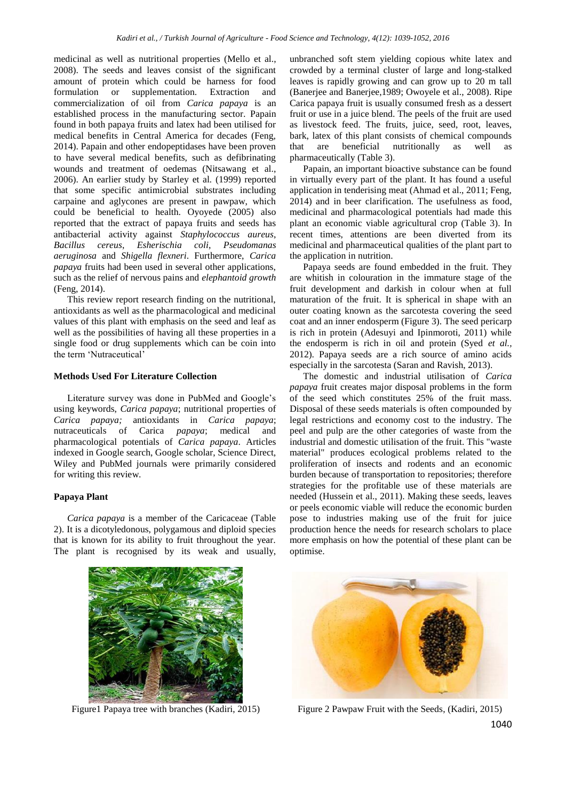medicinal as well as nutritional properties (Mello et al., 2008). The seeds and leaves consist of the significant amount of protein which could be harness for food formulation or supplementation. Extraction and commercialization of oil from *Carica papaya* is an established process in the manufacturing sector. Papain found in both papaya fruits and latex had been utilised for medical benefits in Central America for decades (Feng, 2014). Papain and other endopeptidases have been proven to have several medical benefits, such as defibrinating wounds and treatment of oedemas (Nitsawang et al., 2006). An earlier study by Starley et al*.* (1999) reported that some specific antimicrobial substrates including carpaine and aglycones are present in pawpaw, which could be beneficial to health. Oyoyede (2005) also reported that the extract of papaya fruits and seeds has antibacterial activity against *Staphylococcus aureus*, *Bacillus cereus*, *Esherischia coli*, *Pseudomanas aeruginosa* and *Shigella flexneri*. Furthermore, *Carica papaya* fruits had been used in several other applications, such as the relief of nervous pains and *elephantoid growth* (Feng, 2014).

This review report research finding on the nutritional, antioxidants as well as the pharmacological and medicinal values of this plant with emphasis on the seed and leaf as well as the possibilities of having all these properties in a single food or drug supplements which can be coin into the term 'Nutraceutical'

#### **Methods Used For Literature Collection**

Literature survey was done in PubMed and Google's using keywords, *Carica papaya*; nutritional properties of *Carica papaya;* antioxidants in *Carica papaya*; nutraceuticals of Carica *papaya*; medical and pharmacological potentials of *Carica papaya*. Articles indexed in Google search, Google scholar, Science Direct, Wiley and PubMed journals were primarily considered for writing this review.

## **Papaya Plant**

*Carica papaya* is a member of the Caricaceae (Table 2). It is a dicotyledonous, polygamous and diploid species that is known for its ability to fruit throughout the year. The plant is recognised by its weak and usually,

unbranched soft stem yielding copious white latex and crowded by a terminal cluster of large and long-stalked leaves is rapidly growing and can grow up to 20 m tall (Banerjee and Banerjee,1989; Owoyele et al., 2008). Ripe Carica papaya fruit is usually consumed fresh as a dessert fruit or use in a juice blend. The peels of the fruit are used as livestock feed. The fruits, juice, seed, root, leaves, bark, latex of this plant consists of chemical compounds that are beneficial nutritionally as well as pharmaceutically (Table 3).

Papain, an important bioactive substance can be found in virtually every part of the plant. It has found a useful application in tenderising meat (Ahmad et al., 2011; Feng, 2014) and in beer clarification. The usefulness as food, medicinal and pharmacological potentials had made this plant an economic viable agricultural crop (Table 3). In recent times, attentions are been diverted from its medicinal and pharmaceutical qualities of the plant part to the application in nutrition.

Papaya seeds are found embedded in the fruit. They are whitish in colouration in the immature stage of the fruit development and darkish in colour when at full maturation of the fruit. It is spherical in shape with an outer coating known as the sarcotesta covering the seed coat and an inner endosperm (Figure 3). The seed pericarp is rich in protein (Adesuyi and Ipinmoroti, 2011) while the endosperm is rich in oil and protein (Syed *et al.,* 2012). Papaya seeds are a rich source of amino acids especially in the sarcotesta (Saran and Ravish, 2013).

The domestic and industrial utilisation of *Carica papaya* fruit creates major disposal problems in the form of the seed which constitutes 25% of the fruit mass. Disposal of these seeds materials is often compounded by legal restrictions and economy cost to the industry. The peel and pulp are the other categories of waste from the industrial and domestic utilisation of the fruit. This "waste material" produces ecological problems related to the proliferation of insects and rodents and an economic burden because of transportation to repositories; therefore strategies for the profitable use of these materials are needed (Hussein et al., 2011). Making these seeds, leaves or peels economic viable will reduce the economic burden pose to industries making use of the fruit for juice production hence the needs for research scholars to place more emphasis on how the potential of these plant can be optimise.





1040 Figure1 Papaya tree with branches (Kadiri, 2015) Figure 2 Pawpaw Fruit with the Seeds, (Kadiri, 2015)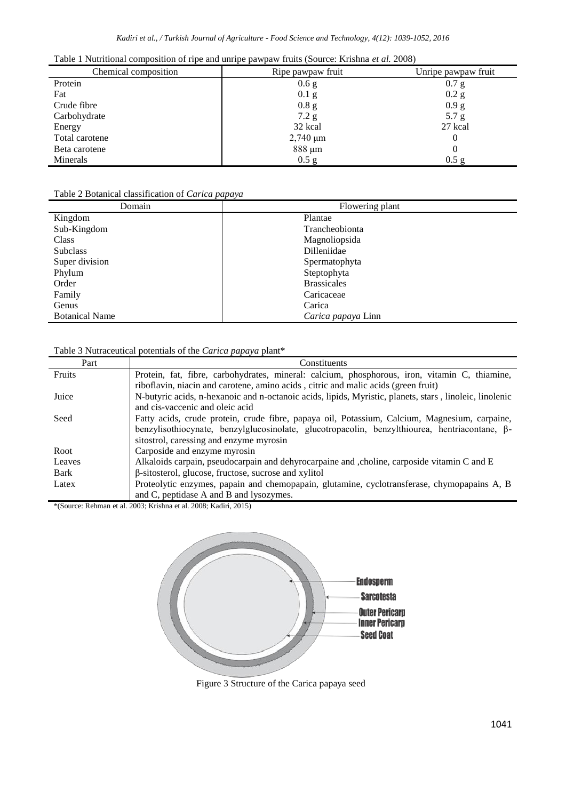|  |  |  | Table 1 Nutritional composition of ripe and unripe pawpaw fruits (Source: Krishna et al. 2008) |  |
|--|--|--|------------------------------------------------------------------------------------------------|--|
|  |  |  |                                                                                                |  |

| Chemical composition | Ripe pawpaw fruit | Unripe pawpaw fruit |
|----------------------|-------------------|---------------------|
| Protein              | 0.6 g             | 0.7 g               |
| Fat                  | $0.1\text{ g}$    | $0.2$ g             |
| Crude fibre          | 0.8 <sub>g</sub>  | 0.9 g               |
| Carbohydrate         | 7.2 g             | 5.7 g               |
| Energy               | 32 kcal           | 27 kcal             |
| Total carotene       | $2,740 \mu m$     |                     |
| Beta carotene        | 888 µm            |                     |
| Minerals             | $0.5$ g           | $0.5 \text{ g}$     |

## Table 2 Botanical classification of *Carica papaya*

| Domain                | Flowering plant    |
|-----------------------|--------------------|
| Kingdom               | Plantae            |
| Sub-Kingdom           | Trancheobionta     |
| Class                 | Magnoliopsida      |
| <b>Subclass</b>       | Dilleniidae        |
| Super division        | Spermatophyta      |
| Phylum                | Steptophyta        |
| Order                 | <b>Brassicales</b> |
| Family                | Caricaceae         |
| Genus                 | Carica             |
| <b>Botanical Name</b> | Carica papaya Linn |

# Table 3 Nutraceutical potentials of the *Carica papaya* plant\*

| Part   | Constituents                                                                                             |
|--------|----------------------------------------------------------------------------------------------------------|
| Fruits | Protein, fat, fibre, carbohydrates, mineral: calcium, phosphorous, iron, vitamin C, thiamine,            |
|        | riboflavin, niacin and carotene, amino acids, citric and malic acids (green fruit)                       |
| Juice  | N-butyric acids, n-hexanoic and n-octanoic acids, lipids, Myristic, planets, stars, linoleic, linolenic  |
|        | and cis-vaccenic and oleic acid                                                                          |
| Seed   | Fatty acids, crude protein, crude fibre, papaya oil, Potassium, Calcium, Magnesium, carpaine,            |
|        | benzylisothiocynate, benzyl $g$ lucosinolate, glucotropacolin, benzylthiourea, hentriacontane, $\beta$ - |
|        | sitostrol, caressing and enzyme myrosin                                                                  |
| Root   | Carposide and enzyme myrosin                                                                             |
| Leaves | Alkaloids carpain, pseudocarpain and dehyrocarpaine and , choline, carposide vitamin C and E             |
| Bark   | $\beta$ -sitosterol, glucose, fructose, sucrose and xylitol                                              |
| Latex  | Proteolytic enzymes, papain and chemopapain, glutamine, cyclotransferase, chymopapains A, B              |
|        | and C, peptidase A and B and lysozymes.                                                                  |

\*(Source: Rehman et al. 2003; Krishna et al. 2008; Kadiri, 2015)



Figure 3 Structure of the Carica papaya seed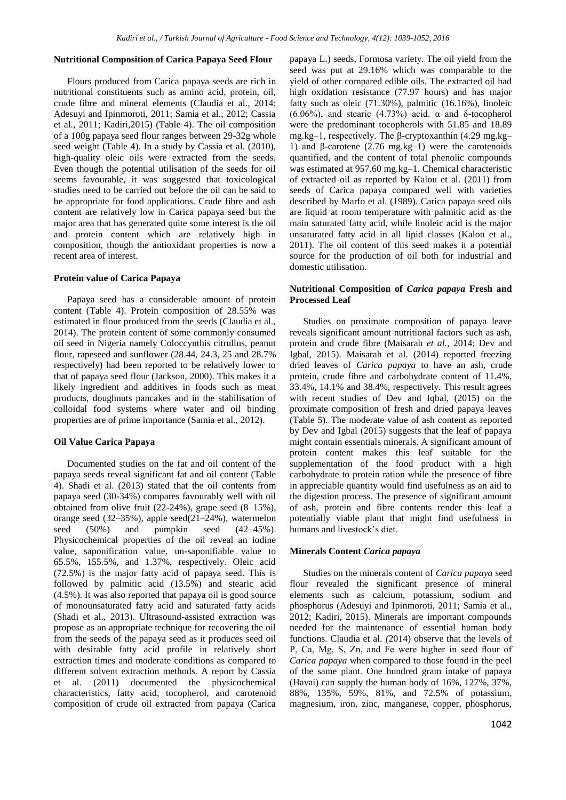#### **Nutritional Composition of Carica Papaya Seed Flour**

Flours produced from Carica papaya seeds are rich in nutritional constituents such as amino acid, protein, oil, crude fibre and mineral elements (Claudia et al., 2014; Adesuyi and Ipinmoroti, 2011; Samia et al., 2012; Cassia et al., 2011; Kadiri,2015) (Table 4). The oil composition of a 100g papaya seed flour ranges between 29-32g whole seed weight (Table 4). In a study by Cassia et al. (2010), high-quality oleic oils were extracted from the seeds. Even though the potential utilisation of the seeds for oil seems favourable, it was suggested that toxicological studies need to be carried out before the oil can be said to be appropriate for food applications. Crude fibre and ash content are relatively low in Carica papaya seed but the major area that has generated quite some interest is the oil and protein content which are relatively high in composition, though the antioxidant properties is now a recent area of interest.

#### **Protein value of Carica Papaya**

Papaya seed has a considerable amount of protein content (Table 4). Protein composition of 28.55% was estimated in flour produced from the seeds (Claudia et al., 2014). The protein content of some commonly consumed oil seed in Nigeria namely Coloccynthis citrullus, peanut flour, rapeseed and sunflower (28.44, 24.3, 25 and 28.7% respectively) had been reported to be relatively lower to that of papaya seed flour (Jackson, 2000). This makes it a likely ingredient and additives in foods such as meat products, doughnuts pancakes and in the stabilisation of colloidal food systems where water and oil binding properties are of prime importance (Samia et al., 2012).

## **Oil Value Carica Papaya**

Documented studies on the fat and oil content of the papaya seeds reveal significant fat and oil content (Table 4). Shadi et al. (2013) stated that the oil contents from papaya seed (30-34%) compares favourably well with oil obtained from olive fruit (22-24%), grape seed (8–15%), orange seed (32–35%), apple seed(21–24%), watermelon seed (50%) and pumpkin seed (42–45%). Physicochemical properties of the oil reveal an iodine value, saponification value, un-saponifiable value to 65.5%, 155.5%, and 1.37%, respectively. Oleic acid (72.5%) is the major fatty acid of papaya seed. This is followed by palmitic acid (13.5%) and stearic acid (4.5%). It was also reported that papaya oil is good source of monounsaturated fatty acid and saturated fatty acids (Shadi et al., 2013). Ultrasound-assisted extraction was propose as an appropriate technique for recovering the oil from the seeds of the papaya seed as it produces seed oil with desirable fatty acid profile in relatively short extraction times and moderate conditions as compared to different solvent extraction methods. A report by Cassia et al. (2011) documented the physicochemical characteristics, fatty acid, tocopherol, and carotenoid composition of crude oil extracted from papaya (Carica papaya L.) seeds, Formosa variety. The oil yield from the seed was put at 29.16% which was comparable to the yield of other compared edible oils. The extracted oil had high oxidation resistance (77.97 hours) and has major fatty such as oleic (71.30%), palmitic (16.16%), linoleic (6.06%), and stearic (4.73%) acid.  $\alpha$  and  $\delta$ -tocopherol were the predominant tocopherols with 51.85 and 18.89 mg.kg–1, respectively. The β-cryptoxanthin (4.29 mg.kg– 1) and β-carotene (2.76 mg.kg–1) were the carotenoids quantified, and the content of total phenolic compounds was estimated at 957.60 mg.kg–1. Chemical characteristic of extracted oil as reported by Kalou et al. (2011) from seeds of Carica papaya compared well with varieties described by Marfo et al. (1989). Carica papaya seed oils are liquid at room temperature with palmitic acid as the main saturated fatty acid, while linoleic acid is the major unsaturated fatty acid in all lipid classes (Kalou et al., 2011). The oil content of this seed makes it a potential source for the production of oil both for industrial and domestic utilisation.

## **Nutritional Composition of** *Carica papaya* **Fresh and Processed Leaf**

Studies on proximate composition of papaya leave reveals significant amount nutritional factors such as ash, protein and crude fibre (Maisarah *et al.,* 2014; Dev and Igbal, 2015). Maisarah et al. (2014) reported freezing dried leaves of *Carica papaya* to have an ash, crude protein, crude fibre and carbohydrate content of 11.4%, 33.4%, 14.1% and 38.4%, respectively. This result agrees with recent studies of Dev and Iqbal, (2015) on the proximate composition of fresh and dried papaya leaves (Table 5). The moderate value of ash content as reported by Dev and Igbal (2015) suggests that the leaf of papaya might contain essentials minerals. A significant amount of protein content makes this leaf suitable for the supplementation of the food product with a high carbohydrate to protein ration while the presence of fibre in appreciable quantity would find usefulness as an aid to the digestion process. The presence of significant amount of ash, protein and fibre contents render this leaf a potentially viable plant that might find usefulness in humans and livestock's diet.

#### **Minerals Content** *Carica papaya*

Studies on the minerals content of *Carica papaya* seed flour revealed the significant presence of mineral elements such as calcium, potassium, sodium and phosphorus (Adesuyi and Ipinmoroti, 2011; Samia et al., 2012; Kadiri, 2015). Minerals are important compounds needed for the maintenance of essential human body functions. Claudia et al. *(*2014) observe that the levels of P, Ca, Mg, S, Zn, and Fe were higher in seed flour of *Carica papaya* when compared to those found in the peel of the same plant. One hundred gram intake of papaya (Havai) can supply the human body of 16%, 127%, 37%, 88%, 135%, 59%, 81%, and 72.5% of potassium, magnesium, iron, zinc, manganese, copper, phosphorus,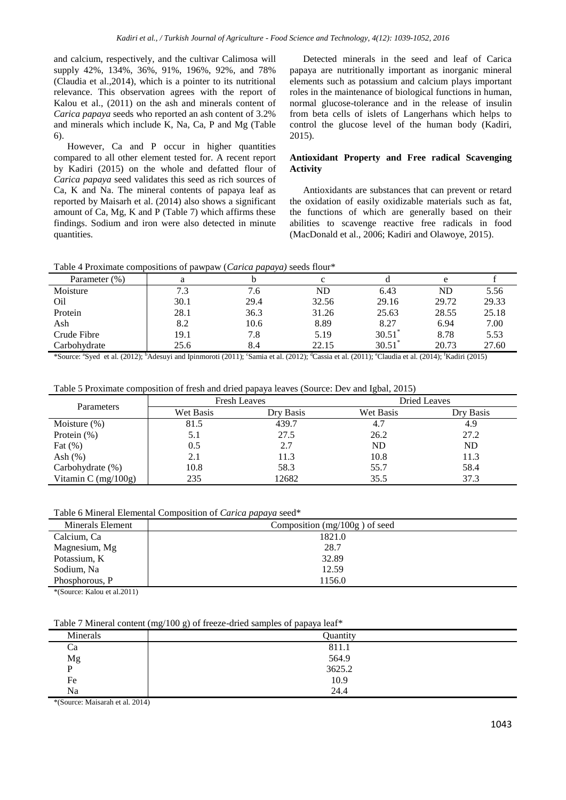and calcium, respectively, and the cultivar Calimosa will supply 42%, 134%, 36%, 91%, 196%, 92%, and 78% (Claudia et al.,2014), which is a pointer to its nutritional relevance. This observation agrees with the report of Kalou et al., (2011) on the ash and minerals content of *Carica papaya* seeds who reported an ash content of 3.2% and minerals which include K, Na, Ca, P and Mg (Table 6).

However, Ca and P occur in higher quantities compared to all other element tested for. A recent report by Kadiri (2015) on the whole and defatted flour of *Carica papaya* seed validates this seed as rich sources of Ca, K and Na. The mineral contents of papaya leaf as reported by Maisarh et al. (2014) also shows a significant amount of Ca, Mg, K and P (Table 7) which affirms these findings. Sodium and iron were also detected in minute quantities.

Detected minerals in the seed and leaf of Carica papaya are nutritionally important as inorganic mineral elements such as potassium and calcium plays important roles in the maintenance of biological functions in human, normal glucose-tolerance and in the release of insulin from beta cells of islets of Langerhans which helps to control the glucose level of the human body (Kadiri, 2015).

## **Antioxidant Property and Free radical Scavenging Activity**

Antioxidants are substances that can prevent or retard the oxidation of easily oxidizable materials such as fat, the functions of which are generally based on their abilities to scavenge reactive free radicals in food (MacDonald et al., 2006; Kadiri and Olawoye, 2015).

Table 4 Proximate compositions of pawpaw (*Carica papaya)* seeds flour\*

| Parameter (%)   | я    |      |       |       | e     |       |
|-----------------|------|------|-------|-------|-------|-------|
| Moisture        | 7.3  | 7.6  | ND    | 6.43  | ND    | 5.56  |
| O <sub>il</sub> | 30.1 | 29.4 | 32.56 | 29.16 | 29.72 | 29.33 |
| Protein         | 28.1 | 36.3 | 31.26 | 25.63 | 28.55 | 25.18 |
| Ash             | 8.2  | 10.6 | 8.89  | 8.27  | 6.94  | 7.00  |
| Crude Fibre     | 19.1 | 7.8  | 5.19  | 30.51 | 8.78  | 5.53  |
| Carbohydrate    | 25.6 | 8.4  | 22.15 | 30.51 | 20.73 | 27.60 |
|                 |      |      |       |       |       |       |

\*Source: "Syed et al. (2012); <sup>b</sup>Adesuyi and Ipinmoroti (2011); "Samia et al. (2012); "Cassia et al. (2011); "Claudia et al. (2014); "Kadiri (2015)

Table 5 Proximate composition of fresh and dried papaya leaves (Source: Dev and Igbal, 2015)

| Parameters            | <b>Fresh Leaves</b> |           |           | Dried Leaves |
|-----------------------|---------------------|-----------|-----------|--------------|
|                       | Wet Basis           | Dry Basis | Wet Basis | Dry Basis    |
| Moisture $(\%)$       | 81.5                | 439.7     | 4.7       | 4.9          |
| Protein $(\%)$        | 5.1                 | 27.5      | 26.2      | 27.2         |
| Fat $(\%)$            | 0.5                 | 2.7       | ND        | ND           |
| Ash $(\%)$            | 2.1                 | 11.3      | 10.8      | 11.3         |
| Carbohydrate $(\%)$   | 10.8                | 58.3      | 55.7      | 58.4         |
| Vitamin C $(mg/100g)$ | 235                 | 12682     | 35.5      | 37.3         |

Table 6 Mineral Elemental Composition of *Carica papaya* seed\*

| Minerals Element  | Composition $(mg/100g)$ of seed |
|-------------------|---------------------------------|
| Calcium, Ca       | 1821.0                          |
| Magnesium, Mg     | 28.7                            |
| Potassium, K      | 32.89                           |
| Sodium, Na        | 12.59                           |
| Phosphorous, P    | 1156.0                          |
| 4.7 <sub>CI</sub> |                                 |

\*(Source: Kalou et al.2011)

Table 7 Mineral content  $(mg/100 g)$  of freeze-dried samples of papaya leaf\*

|             |          | __<br>_____<br>. |
|-------------|----------|------------------|
|             | Minerals | Quantity         |
| Ca          |          | 811.1            |
| $_{\rm Mg}$ |          | 564.9            |
| D           |          | 3625.2           |
| Fe          |          | 10.9             |
| Na          |          | 24.4             |

\*(Source: Maisarah et al. 2014)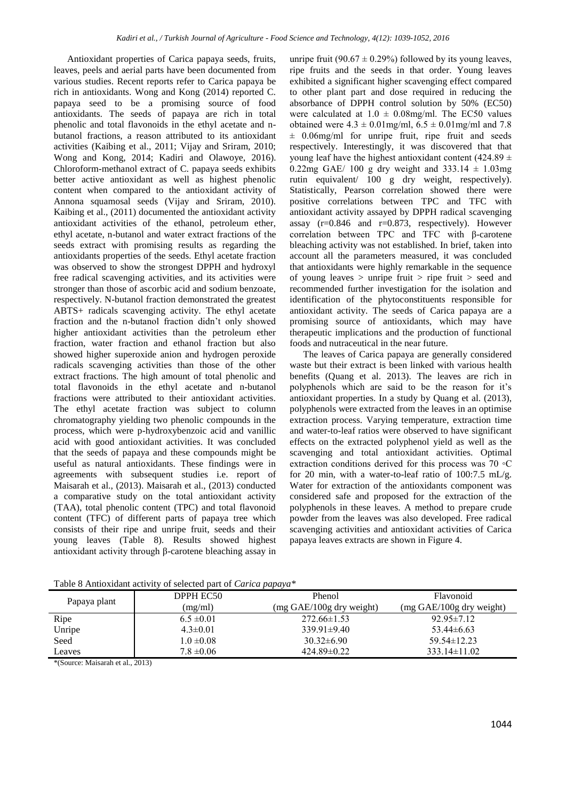Antioxidant properties of Carica papaya seeds, fruits, leaves, peels and aerial parts have been documented from various studies. Recent reports refer to Carica papaya be rich in antioxidants. Wong and Kong (2014) reported C. papaya seed to be a promising source of food antioxidants. The seeds of papaya are rich in total phenolic and total flavonoids in the ethyl acetate and nbutanol fractions, a reason attributed to its antioxidant activities (Kaibing et al., 2011; Vijay and Sriram, 2010; Wong and Kong, 2014; Kadiri and Olawoye, 2016). Chloroform-methanol extract of C. papaya seeds exhibits better active antioxidant as well as highest phenolic content when compared to the antioxidant activity of Annona squamosal seeds (Vijay and Sriram, 2010). Kaibing et al., (2011) documented the antioxidant activity antioxidant activities of the ethanol, petroleum ether, ethyl acetate, n-butanol and water extract fractions of the seeds extract with promising results as regarding the antioxidants properties of the seeds. Ethyl acetate fraction was observed to show the strongest DPPH and hydroxyl free radical scavenging activities, and its activities were stronger than those of ascorbic acid and sodium benzoate, respectively. N-butanol fraction demonstrated the greatest ABTS+ radicals scavenging activity. The ethyl acetate fraction and the n-butanol fraction didn't only showed higher antioxidant activities than the petroleum ether fraction, water fraction and ethanol fraction but also showed higher superoxide anion and hydrogen peroxide radicals scavenging activities than those of the other extract fractions. The high amount of total phenolic and total flavonoids in the ethyl acetate and n-butanol fractions were attributed to their antioxidant activities. The ethyl acetate fraction was subject to column chromatography yielding two phenolic compounds in the process, which were p-hydroxybenzoic acid and vanillic acid with good antioxidant activities. It was concluded that the seeds of papaya and these compounds might be useful as natural antioxidants. These findings were in agreements with subsequent studies i.e. report of Maisarah et al., (2013). Maisarah et al., (2013) conducted a comparative study on the total antioxidant activity (TAA), total phenolic content (TPC) and total flavonoid content (TFC) of different parts of papaya tree which consists of their ripe and unripe fruit, seeds and their young leaves (Table 8). Results showed highest antioxidant activity through β-carotene bleaching assay in

unripe fruit (90.67  $\pm$  0.29%) followed by its young leaves, ripe fruits and the seeds in that order. Young leaves exhibited a significant higher scavenging effect compared to other plant part and dose required in reducing the absorbance of DPPH control solution by 50% (EC50) were calculated at  $1.0 \pm 0.08$ mg/ml. The EC50 values obtained were  $4.3 \pm 0.01$  mg/ml,  $6.5 \pm 0.01$  mg/ml and 7.8 ± 0.06mg/ml for unripe fruit, ripe fruit and seeds respectively. Interestingly, it was discovered that that young leaf have the highest antioxidant content (424.89  $\pm$ 0.22mg GAE/ 100 g dry weight and  $333.14 \pm 1.03$ mg rutin equivalent/ 100 g dry weight, respectively). Statistically, Pearson correlation showed there were positive correlations between TPC and TFC with antioxidant activity assayed by DPPH radical scavenging assay  $(r=0.846$  and  $r=0.873$ , respectively). However correlation between TPC and TFC with β-carotene bleaching activity was not established. In brief, taken into account all the parameters measured, it was concluded that antioxidants were highly remarkable in the sequence of young leaves  $>$  unripe fruit  $>$  ripe fruit  $>$  seed and recommended further investigation for the isolation and identification of the phytoconstituents responsible for antioxidant activity. The seeds of Carica papaya are a promising source of antioxidants, which may have therapeutic implications and the production of functional foods and nutraceutical in the near future.

The leaves of Carica papaya are generally considered waste but their extract is been linked with various health benefits (Quang et al. 2013). The leaves are rich in polyphenols which are said to be the reason for it's antioxidant properties. In a study by Quang et al. (2013), polyphenols were extracted from the leaves in an optimise extraction process. Varying temperature, extraction time and water-to-leaf ratios were observed to have significant effects on the extracted polyphenol yield as well as the scavenging and total antioxidant activities. Optimal extraction conditions derived for this process was 70 ◦C for 20 min, with a water-to-leaf ratio of  $100:7.5$  mL/g. Water for extraction of the antioxidants component was considered safe and proposed for the extraction of the polyphenols in these leaves. A method to prepare crude powder from the leaves was also developed. Free radical scavenging activities and antioxidant activities of Carica papaya leaves extracts are shown in Figure 4.

|              | Tuble of milloandlift activity of scheeted part of carted pupu fu |                                            |                                            |  |  |  |
|--------------|-------------------------------------------------------------------|--------------------------------------------|--------------------------------------------|--|--|--|
| Papaya plant | DPPH EC50                                                         | Phenol                                     | Flavonoid                                  |  |  |  |
|              | (mg/ml)                                                           | $(mg \text{ GAE}/100g \text{ dry weight})$ | $(mg \text{ GAE}/100g \text{ dry weight})$ |  |  |  |
| Ripe         | $6.5 \pm 0.01$                                                    | $272.66 \pm 1.53$                          | $92.95 \pm 7.12$                           |  |  |  |
| Unripe       | $4.3 \pm 0.01$                                                    | $339.91\pm9.40$                            | $53.44\pm 6.63$                            |  |  |  |
| Seed         | $1.0 \pm 0.08$                                                    | $30.32 \pm 6.90$                           | $59.54 \pm 12.23$                          |  |  |  |
| Leaves       | $7.8 \pm 0.06$                                                    | $424.89\pm0.22$                            | $333.14 \pm 11.02$                         |  |  |  |

Table 8 Antioxidant activity of selected part of *Carica papaya\**

\*(Source: Maisarah et al., 2013)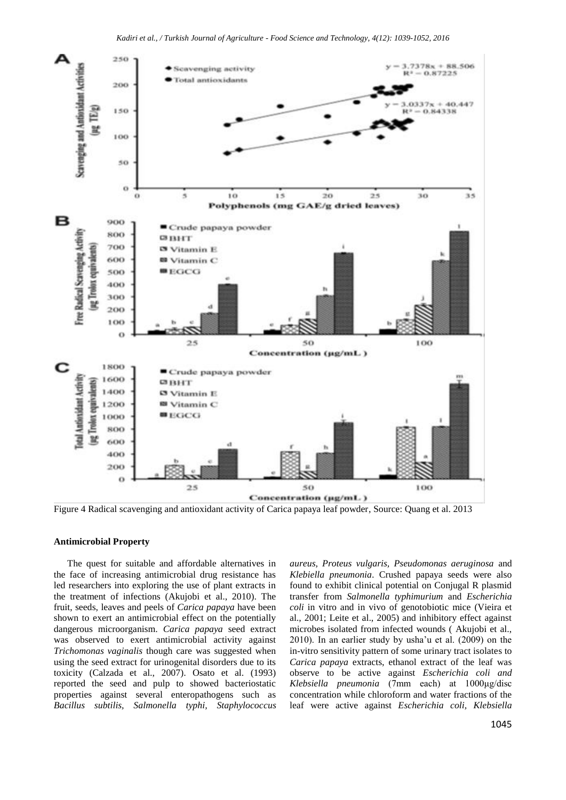

Figure 4 Radical scavenging and antioxidant activity of Carica papaya leaf powder, Source: Quang et al. 2013

### **Antimicrobial Property**

The quest for suitable and affordable alternatives in the face of increasing antimicrobial drug resistance has led researchers into exploring the use of plant extracts in the treatment of infections (Akujobi et al., 2010). The fruit, seeds, leaves and peels of *Carica papaya* have been shown to exert an antimicrobial effect on the potentially dangerous microorganism. *Carica papaya* seed extract was observed to exert antimicrobial activity against *Trichomonas vaginalis* though care was suggested when using the seed extract for urinogenital disorders due to its toxicity (Calzada et al., 2007). Osato et al. (1993) reported the seed and pulp to showed bacteriostatic properties against several enteropathogens such as *Bacillus subtilis, Salmonella typhi, Staphylococcus*  *aureus, Proteus vulgaris, Pseudomonas aeruginosa* and *Klebiella pneumonia*. Crushed papaya seeds were also found to exhibit clinical potential on Conjugal R plasmid transfer from *Salmonella typhimurium* and *Escherichia coli* in vitro and in vivo of genotobiotic mice (Vieira et al., 2001; Leite et al., 2005) and inhibitory effect against microbes isolated from infected wounds ( Akujobi et al., 2010). In an earlier study by usha'u et al. (2009) on the in-vitro sensitivity pattern of some urinary tract isolates to *Carica papaya* extracts, ethanol extract of the leaf was observe to be active against *Escherichia coli and Klebsiella pneumonia* (7mm each) at 1000μg/disc concentration while chloroform and water fractions of the leaf were active against *Escherichia coli, Klebsiella*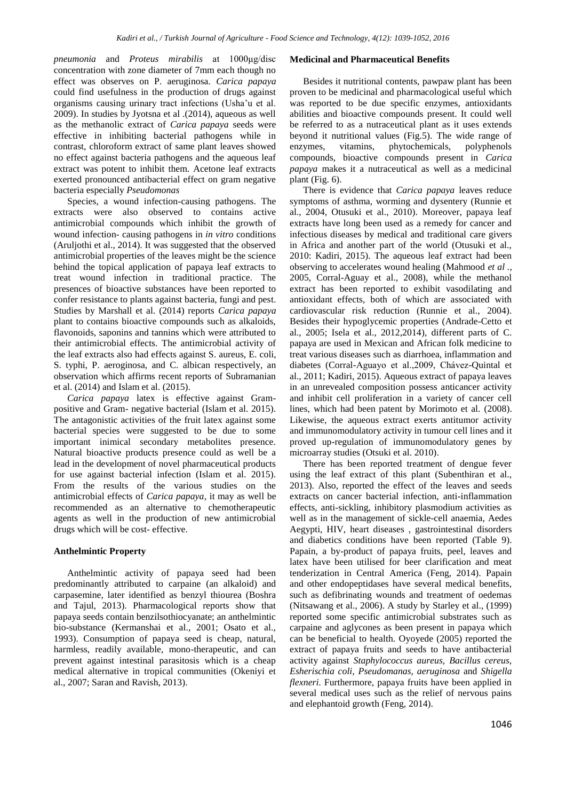*pneumonia* and *Proteus mirabilis* at 1000μg/disc concentration with zone diameter of 7mm each though no effect was observes on P. aeruginosa. *Carica papaya*  could find usefulness in the production of drugs against organisms causing urinary tract infections (Usha'u et al. 2009). In studies by Jyotsna et al .(2014), aqueous as well as the methanolic extract of *Carica papaya* seeds were effective in inhibiting bacterial pathogens while in contrast, chloroform extract of same plant leaves showed no effect against bacteria pathogens and the aqueous leaf extract was potent to inhibit them. Acetone leaf extracts exerted pronounced antibacterial effect on gram negative bacteria especially *Pseudomonas*

Species, a wound infection-causing pathogens. The extracts were also observed to contains active antimicrobial compounds which inhibit the growth of wound infection- causing pathogens in *in vitro* conditions (Aruljothi et al., 2014). It was suggested that the observed antimicrobial properties of the leaves might be the science behind the topical application of papaya leaf extracts to treat wound infection in traditional practice. The presences of bioactive substances have been reported to confer resistance to plants against bacteria, fungi and pest. Studies by Marshall et al. (2014) reports *Carica papaya* plant to contains bioactive compounds such as alkaloids, flavonoids, saponins and tannins which were attributed to their antimicrobial effects. The antimicrobial activity of the leaf extracts also had effects against S. aureus, E. coli, S. typhi, P. aeroginosa, and C. albican respectively, an observation which affirms recent reports of Subramanian et al. (2014) and Islam et al. (2015).

*Carica papaya* latex is effective against Grampositive and Gram- negative bacterial (Islam et al. 2015). The antagonistic activities of the fruit latex against some bacterial species were suggested to be due to some important inimical secondary metabolites presence. Natural bioactive products presence could as well be a lead in the development of novel pharmaceutical products for use against bacterial infection (Islam et al. 2015). From the results of the various studies on the antimicrobial effects of *Carica papaya*, it may as well be recommended as an alternative to chemotherapeutic agents as well in the production of new antimicrobial drugs which will be cost- effective.

## **Anthelmintic Property**

Anthelmintic activity of papaya seed had been predominantly attributed to carpaine (an alkaloid) and carpasemine, later identified as benzyl thiourea (Boshra and Tajul, 2013). Pharmacological reports show that papaya seeds contain benzilsothiocyanate; an anthelmintic bio-substance (Kermanshai et al., 2001; Osato et al., 1993). Consumption of papaya seed is cheap, natural, harmless, readily available, mono-therapeutic, and can prevent against intestinal parasitosis which is a cheap medical alternative in tropical communities (Okeniyi et al., 2007; Saran and Ravish, 2013).

#### **Medicinal and Pharmaceutical Benefits**

Besides it nutritional contents, pawpaw plant has been proven to be medicinal and pharmacological useful which was reported to be due specific enzymes, antioxidants abilities and bioactive compounds present. It could well be referred to as a nutraceutical plant as it uses extends beyond it nutritional values (Fig.5). The wide range of enzymes, vitamins, phytochemicals, polyphenols compounds, bioactive compounds present in *Carica papaya* makes it a nutraceutical as well as a medicinal plant (Fig. 6).

There is evidence that *Carica papaya* leaves reduce symptoms of asthma, worming and dysentery (Runnie et al., 2004, Otusuki et al., 2010). Moreover, papaya leaf extracts have long been used as a remedy for cancer and infectious diseases by medical and traditional care givers in Africa and another part of the world (Otusuki et al., 2010: Kadiri, 2015). The aqueous leaf extract had been observing to accelerates wound healing (Mahmood *et al .,* 2005, Corral-Aguay et al., 2008), while the methanol extract has been reported to exhibit vasodilating and antioxidant effects, both of which are associated with cardiovascular risk reduction (Runnie et al., 2004). Besides their hypoglycemic properties (Andrade-Cetto et al., 2005; Isela et al., 2012,2014), different parts of C. papaya are used in Mexican and African folk medicine to treat various diseases such as diarrhoea, inflammation and diabetes (Corral-Aguayo et al.,2009, Chávez-Quintal et al., 2011; Kadiri, 2015). Aqueous extract of papaya leaves in an unrevealed composition possess anticancer activity and inhibit cell proliferation in a variety of cancer cell lines, which had been patent by Morimoto et al. (2008). Likewise, the aqueous extract exerts antitumor activity and immunomodulatory activity in tumour cell lines and it proved up-regulation of immunomodulatory genes by microarray studies (Otsuki et al. 2010).

There has been reported treatment of dengue fever using the leaf extract of this plant (Subenthiran et al., 2013). Also, reported the effect of the leaves and seeds extracts on cancer bacterial infection, anti-inflammation effects, anti-sickling, inhibitory plasmodium activities as well as in the management of sickle-cell anaemia, Aedes Aegypti, HIV, heart diseases , gastrointestinal disorders and diabetics conditions have been reported (Table 9). Papain, a by-product of papaya fruits, peel, leaves and latex have been utilised for beer clarification and meat tenderization in Central America (Feng, 2014). Papain and other endopeptidases have several medical benefits, such as defibrinating wounds and treatment of oedemas (Nitsawang et al., 2006). A study by Starley et al., (1999) reported some specific antimicrobial substrates such as carpaine and aglycones as been present in papaya which can be beneficial to health. Oyoyede (2005) reported the extract of papaya fruits and seeds to have antibacterial activity against *Staphylococcus aureus, Bacillus cereus, Esherischia coli, Pseudomanas, aeruginosa* and *Shigella flexneri*. Furthermore, papaya fruits have been applied in several medical uses such as the relief of nervous pains and elephantoid growth (Feng, 2014).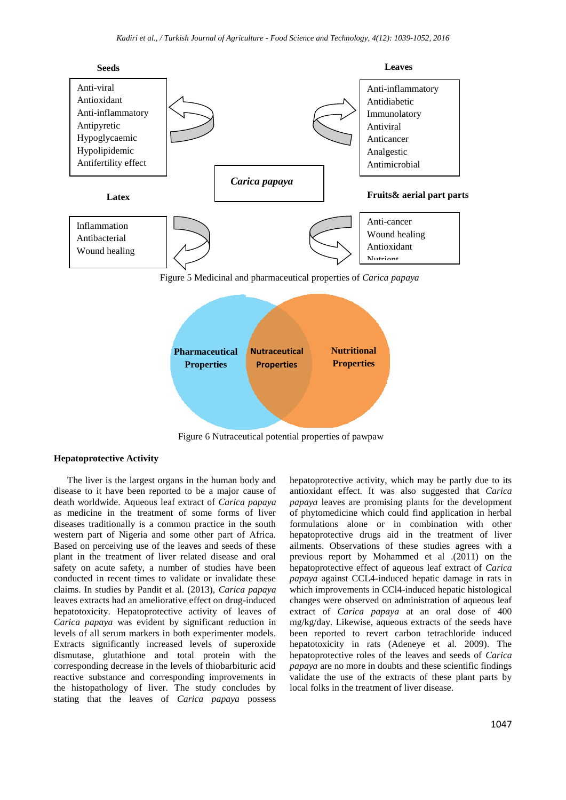

Figure 6 Nutraceutical potential properties of pawpaw

## **Hepatoprotective Activity**

The liver is the largest organs in the human body and disease to it have been reported to be a major cause of death worldwide. Aqueous leaf extract of *Carica papaya* as medicine in the treatment of some forms of liver diseases traditionally is a common practice in the south western part of Nigeria and some other part of Africa. Based on perceiving use of the leaves and seeds of these plant in the treatment of liver related disease and oral safety on acute safety, a number of studies have been conducted in recent times to validate or invalidate these claims. In studies by Pandit et al. (2013), *Carica papaya* leaves extracts had an ameliorative effect on drug-induced hepatotoxicity. Hepatoprotective activity of leaves of *Carica papaya* was evident by significant reduction in levels of all serum markers in both experimenter models. Extracts significantly increased levels of superoxide dismutase, glutathione and total protein with the corresponding decrease in the levels of thiobarbituric acid reactive substance and corresponding improvements in the histopathology of liver. The study concludes by stating that the leaves of *Carica papaya* possess

hepatoprotective activity, which may be partly due to its antioxidant effect. It was also suggested that *Carica papaya* leaves are promising plants for the development of phytomedicine which could find application in herbal formulations alone or in combination with other hepatoprotective drugs aid in the treatment of liver ailments. Observations of these studies agrees with a previous report by Mohammed et al .(2011) on the hepatoprotective effect of aqueous leaf extract of *Carica papaya* against CCL4-induced hepatic damage in rats in which improvements in CCl4-induced hepatic histological changes were observed on administration of aqueous leaf extract of *Carica papaya* at an oral dose of 400 mg/kg/day. Likewise, aqueous extracts of the seeds have been reported to revert carbon tetrachloride induced hepatotoxicity in rats (Adeneye et al. 2009). The hepatoprotective roles of the leaves and seeds of *Carica papaya* are no more in doubts and these scientific findings validate the use of the extracts of these plant parts by local folks in the treatment of liver disease.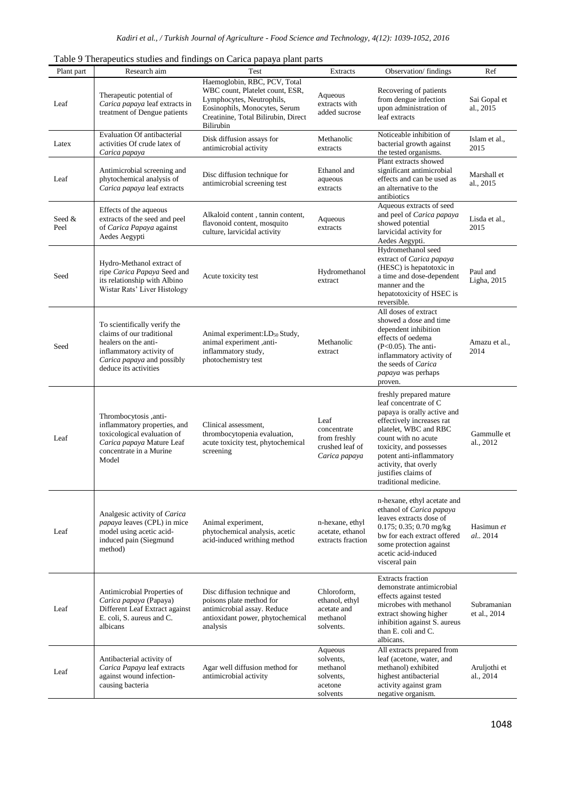|                |                                                                                                                                                                      | Table 9 Therapeutics studies and findings on Carica papaya plant parts                                                                                                            |                                                                         |                                                                                                                                                                                                                                                                                              |                             |
|----------------|----------------------------------------------------------------------------------------------------------------------------------------------------------------------|-----------------------------------------------------------------------------------------------------------------------------------------------------------------------------------|-------------------------------------------------------------------------|----------------------------------------------------------------------------------------------------------------------------------------------------------------------------------------------------------------------------------------------------------------------------------------------|-----------------------------|
| Plant part     | Research aim                                                                                                                                                         | Test                                                                                                                                                                              | Extracts                                                                | Observation/findings                                                                                                                                                                                                                                                                         | Ref                         |
| Leaf           | Therapeutic potential of<br>Carica papaya leaf extracts in<br>treatment of Dengue patients                                                                           | Haemoglobin, RBC, PCV, Total<br>WBC count, Platelet count, ESR,<br>Lymphocytes, Neutrophils,<br>Eosinophils, Monocytes, Serum<br>Creatinine, Total Bilirubin, Direct<br>Bilirubin | Aqueous<br>extracts with<br>added sucrose                               | Recovering of patients<br>from dengue infection<br>upon administration of<br>leaf extracts                                                                                                                                                                                                   | Sai Gopal et<br>al., 2015   |
| Latex          | Evaluation Of antibacterial<br>activities Of crude latex of<br>Carica papaya                                                                                         | Disk diffusion assays for<br>antimicrobial activity                                                                                                                               | Methanolic<br>extracts                                                  | Noticeable inhibition of<br>bacterial growth against<br>the tested organisms.                                                                                                                                                                                                                | Islam et al.,<br>2015       |
| Leaf           | Antimicrobial screening and<br>phytochemical analysis of<br>Carica papaya leaf extracts                                                                              | Disc diffusion technique for<br>antimicrobial screening test                                                                                                                      | Ethanol and<br>aqueous<br>extracts                                      | Plant extracts showed<br>significant antimicrobial<br>effects and can be used as<br>an alternative to the<br>antibiotics                                                                                                                                                                     | Marshall et<br>al., 2015    |
| Seed &<br>Peel | Effects of the aqueous<br>extracts of the seed and peel<br>of Carica Papaya against<br>Aedes Aegypti                                                                 | Alkaloid content, tannin content,<br>flavonoid content, mosquito<br>culture, larvicidal activity                                                                                  | Aqueous<br>extracts                                                     | Aqueous extracts of seed<br>and peel of <i>Carica papaya</i><br>showed potential<br>larvicidal activity for<br>Aedes Aegypti.                                                                                                                                                                | Lisda et al.,<br>2015       |
| Seed           | Hydro-Methanol extract of<br>ripe Carica Papaya Seed and<br>its relationship with Albino<br>Wistar Rats' Liver Histology                                             | Acute toxicity test                                                                                                                                                               | Hydromethanol<br>extract                                                | Hydromethanol seed<br>extract of Carica papaya<br>(HESC) is hepatotoxic in<br>a time and dose-dependent<br>manner and the<br>hepatotoxicity of HSEC is<br>reversible.                                                                                                                        | Paul and<br>Ligha, 2015     |
| Seed           | To scientifically verify the<br>claims of our traditional<br>healers on the anti-<br>inflammatory activity of<br>Carica papaya and possibly<br>deduce its activities | Animal experiment: LD <sub>50</sub> Study,<br>animal experiment ,anti-<br>inflammatory study,<br>photochemistry test                                                              | Methanolic<br>extract                                                   | All doses of extract<br>showed a dose and time<br>dependent inhibition<br>effects of oedema<br>$(P<0.05)$ . The anti-<br>inflammatory activity of<br>the seeds of Carica<br><i>papaya</i> was perhaps<br>proven.                                                                             | Amazu et al.,<br>2014       |
| Leaf           | -anti-mombocytosis ,anti-<br>inflammatory properties, and<br>toxicological evaluation of<br>Carica papaya Mature Leaf<br>concentrate in a Murine<br>Model            | Clinical assessment,<br>thrombocytopenia evaluation,<br>acute toxicity test, phytochemical<br>screening                                                                           | Leaf<br>concentrate<br>from freshly<br>crushed leaf of<br>Carica papaya | freshly prepared mature<br>leaf concentrate of C<br>papaya is orally active and<br>effectively increases rat<br>platelet, WBC and RBC<br>count with no acute<br>toxicity, and possesses<br>potent anti-inflammatory<br>activity, that overly<br>justifies claims of<br>traditional medicine. | Gammulle et<br>al., 2012    |
| Leaf           | Analgesic activity of Carica<br><i>papaya</i> leaves (CPL) in mice<br>model using acetic acid-<br>induced pain (Siegmund<br>method)                                  | Animal experiment,<br>phytochemical analysis, acetic<br>acid-induced writhing method                                                                                              | n-hexane, ethyl<br>acetate, ethanol<br>extracts fraction                | n-hexane, ethyl acetate and<br>ethanol of Carica papaya<br>leaves extracts dose of<br>$0.175$ ; 0.35; 0.70 mg/kg<br>bw for each extract offered<br>some protection against<br>acetic acid-induced<br>visceral pain                                                                           | Hasimun et<br>al., 2014     |
| Leaf           | Antimicrobial Properties of<br>Carica papaya (Papaya)<br>Different Leaf Extract against<br>E. coli, S. aureus and C.<br>albicans                                     | Disc diffusion technique and<br>poisons plate method for<br>antimicrobial assay. Reduce<br>antioxidant power, phytochemical<br>analysis                                           | Chloroform,<br>ethanol, ethyl<br>acetate and<br>methanol<br>solvents.   | <b>Extracts</b> fraction<br>demonstrate antimicrobial<br>effects against tested<br>microbes with methanol<br>extract showing higher<br>inhibition against S. aureus<br>than E. coli and C.<br>albicans.                                                                                      | Subramanian<br>et al., 2014 |
| Leaf           | Antibacterial activity of<br>Carica Papaya leaf extracts<br>against wound infection-<br>causing bacteria                                                             | Agar well diffusion method for<br>antimicrobial activity                                                                                                                          | Aqueous<br>solvents,<br>methanol<br>solvents,<br>acetone<br>solvents    | All extracts prepared from<br>leaf (acetone, water, and<br>methanol) exhibited<br>highest antibacterial<br>activity against gram<br>negative organism.                                                                                                                                       | Aruljothi et<br>al., 2014   |

Table 9 Therapeutics studies and findings on Carica papaya plant parts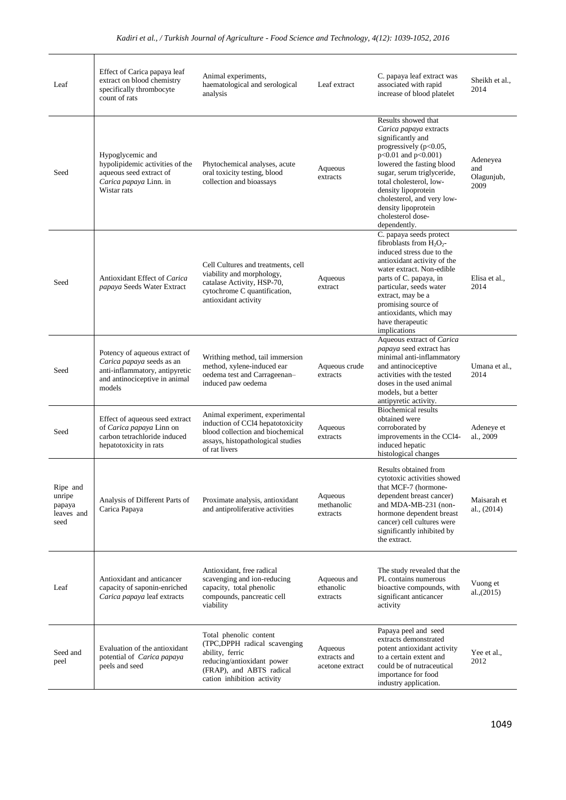| Leaf                                               | Effect of Carica papaya leaf<br>extract on blood chemistry<br>specifically thrombocyte<br>count of rats                                 | Animal experiments,<br>haematological and serological<br>analysis                                                                                                 | Leaf extract                               | C. papaya leaf extract was<br>associated with rapid<br>increase of blood platelet                                                                                                                                                                                                                                          | Sheikh et al.,<br>2014                |
|----------------------------------------------------|-----------------------------------------------------------------------------------------------------------------------------------------|-------------------------------------------------------------------------------------------------------------------------------------------------------------------|--------------------------------------------|----------------------------------------------------------------------------------------------------------------------------------------------------------------------------------------------------------------------------------------------------------------------------------------------------------------------------|---------------------------------------|
| Seed                                               | Hypoglycemic and<br>hypolipidemic activities of the<br>aqueous seed extract of<br>Carica papaya Linn. in<br>Wistar rats                 | Phytochemical analyses, acute<br>oral toxicity testing, blood<br>collection and bioassays                                                                         | Aqueous<br>extracts                        | Results showed that<br>Carica papaya extracts<br>significantly and<br>progressively (p<0.05,<br>p<0.01 and p<0.001)<br>lowered the fasting blood<br>sugar, serum triglyceride,<br>total cholesterol, low-<br>density lipoprotein<br>cholesterol, and very low-<br>density lipoprotein<br>cholesterol dose-<br>dependently. | Adeneyea<br>and<br>Olagunjub,<br>2009 |
| Seed                                               | Antioxidant Effect of Carica<br>papaya Seeds Water Extract                                                                              | Cell Cultures and treatments, cell<br>viability and morphology,<br>catalase Activity, HSP-70,<br>cytochrome C quantification,<br>antioxidant activity             | Aqueous<br>extract                         | C. papaya seeds protect<br>fibroblasts from $H_2O_2$ -<br>induced stress due to the<br>antioxidant activity of the<br>water extract. Non-edible<br>parts of C. papaya, in<br>particular, seeds water<br>extract, may be a<br>promising source of<br>antioxidants, which may<br>have therapeutic<br>implications            | Elisa et al<br>2014                   |
| Seed                                               | Potency of aqueous extract of<br>Carica papaya seeds as an<br>anti-inflammatory, antipyretic<br>and antinociceptive in animal<br>models | Writhing method, tail immersion<br>method, xylene-induced ear<br>oedema test and Carrageenan-<br>induced paw oedema                                               | Aqueous crude<br>extracts                  | Aqueous extract of Carica<br>papaya seed extract has<br>minimal anti-inflammatory<br>and antinociceptive<br>activities with the tested<br>doses in the used animal<br>models, but a better<br>antipyretic activity.                                                                                                        | Umana et al.,<br>2014                 |
| Seed                                               | Effect of aqueous seed extract<br>of Carica papaya Linn on<br>carbon tetrachloride induced<br>hepatotoxicity in rats                    | Animal experiment, experimental<br>induction of CCl4 hepatotoxicity<br>blood collection and biochemical<br>assays, histopathological studies<br>of rat livers     | Aqueous<br>extracts                        | <b>Biochemical results</b><br>obtained were<br>corroborated by<br>improvements in the CCl4-<br>induced hepatic<br>histological changes                                                                                                                                                                                     | Adeneye et<br>al., 2009               |
| Ripe and<br>unripe<br>papaya<br>leaves and<br>seed | Analysis of Different Parts of<br>Carica Papaya                                                                                         | Proximate analysis, antioxidant<br>and antiproliferative activities                                                                                               | Aqueous<br>methanolic<br>extracts          | Results obtained from<br>cytotoxic activities showed<br>that MCF-7 (hormone-<br>dependent breast cancer)<br>and MDA-MB-231 (non-<br>hormone dependent breast<br>cancer) cell cultures were<br>significantly inhibited by<br>the extract.                                                                                   | Maisarah et<br>al., (2014)            |
| Leaf                                               | Antioxidant and anticancer<br>capacity of saponin-enriched<br>Carica papaya leaf extracts                                               | Antioxidant, free radical<br>scavenging and ion-reducing<br>capacity, total phenolic<br>compounds, pancreatic cell<br>viability                                   | Aqueous and<br>ethanolic<br>extracts       | The study revealed that the<br>PL contains numerous<br>bioactive compounds, with<br>significant anticancer<br>activity                                                                                                                                                                                                     | Vuong et<br>al., (2015)               |
| Seed and<br>peel                                   | Evaluation of the antioxidant<br>potential of Carica papaya<br>peels and seed                                                           | Total phenolic content<br>(TPC,DPPH radical scavenging<br>ability, ferric<br>reducing/antioxidant power<br>(FRAP), and ABTS radical<br>cation inhibition activity | Aqueous<br>extracts and<br>acetone extract | Papaya peel and seed<br>extracts demonstrated<br>potent antioxidant activity<br>to a certain extent and<br>could be of nutraceutical<br>importance for food<br>industry application.                                                                                                                                       | Yee et al.,<br>2012                   |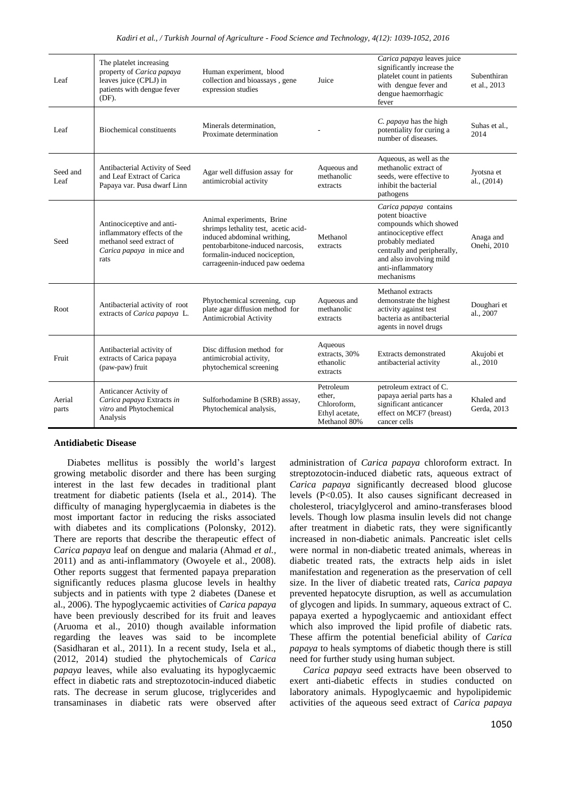| Leaf             | The platelet increasing<br>property of Carica papaya<br>leaves juice (CPLJ) in<br>patients with dengue fever<br>(DF).     | Human experiment, blood<br>collection and bioassays, gene<br>expression studies                                                                                                                         | Juice                                                                | Carica papaya leaves juice<br>significantly increase the<br>platelet count in patients<br>with dengue fever and<br>dengue haemorrhagic<br>fever                                                                  | Subenthiran<br>et al., 2013 |
|------------------|---------------------------------------------------------------------------------------------------------------------------|---------------------------------------------------------------------------------------------------------------------------------------------------------------------------------------------------------|----------------------------------------------------------------------|------------------------------------------------------------------------------------------------------------------------------------------------------------------------------------------------------------------|-----------------------------|
| Leaf             | <b>Biochemical constituents</b>                                                                                           | Minerals determination,<br>Proximate determination                                                                                                                                                      |                                                                      | C. papaya has the high<br>potentiality for curing a<br>number of diseases.                                                                                                                                       | Suhas et al.,<br>2014       |
| Seed and<br>Leaf | Antibacterial Activity of Seed<br>and Leaf Extract of Carica<br>Papaya var. Pusa dwarf Linn                               | Agar well diffusion assay for<br>antimicrobial activity                                                                                                                                                 | Aqueous and<br>methanolic<br>extracts                                | Aqueous, as well as the<br>methanolic extract of<br>seeds, were effective to<br>inhibit the bacterial<br>pathogens                                                                                               | Jyotsna et<br>al., (2014)   |
| Seed             | Antinociceptive and anti-<br>inflammatory effects of the<br>methanol seed extract of<br>Carica papaya in mice and<br>rats | Animal experiments, Brine<br>shrimps lethality test, acetic acid-<br>induced abdominal writhing,<br>pentobarbitone-induced narcosis,<br>formalin-induced nociception,<br>carrageenin-induced paw oedema | Methanol<br>extracts                                                 | Carica papaya contains<br>potent bioactive<br>compounds which showed<br>antinociceptive effect<br>probably mediated<br>centrally and peripherally,<br>and also involving mild<br>anti-inflammatory<br>mechanisms | Anaga and<br>Onehi, 2010    |
| Root             | Antibacterial activity of root<br>extracts of Carica papaya L.                                                            | Phytochemical screening, cup<br>plate agar diffusion method for<br>Antimicrobial Activity                                                                                                               | Aqueous and<br>methanolic<br>extracts                                | Methanol extracts<br>demonstrate the highest<br>activity against test<br>bacteria as antibacterial<br>agents in novel drugs                                                                                      | Doughari et<br>al., 2007    |
| Fruit            | Antibacterial activity of<br>extracts of Carica papaya<br>(paw-paw) fruit                                                 | Disc diffusion method for<br>antimicrobial activity,<br>phytochemical screening                                                                                                                         | Aqueous<br>extracts, 30%<br>ethanolic<br>extracts                    | Extracts demonstrated<br>antibacterial activity                                                                                                                                                                  | Akujobi et<br>al., 2010     |
| Aerial<br>parts  | Anticancer Activity of<br>Carica papaya Extracts in<br>vitro and Phytochemical<br>Analysis                                | Sulforhodamine B (SRB) assay,<br>Phytochemical analysis,                                                                                                                                                | Petroleum<br>ether,<br>Chloroform.<br>Ethyl acetate,<br>Methanol 80% | petroleum extract of C.<br>papaya aerial parts has a<br>significant anticancer<br>effect on MCF7 (breast)<br>cancer cells                                                                                        | Khaled and<br>Gerda, 2013   |

## **Antidiabetic Disease**

Diabetes mellitus is possibly the world's largest growing metabolic disorder and there has been surging interest in the last few decades in traditional plant treatment for diabetic patients (Isela et al.*,* 2014). The difficulty of managing hyperglycaemia in diabetes is the most important factor in reducing the risks associated with diabetes and its complications (Polonsky, 2012). There are reports that describe the therapeutic effect of *Carica papaya* leaf on dengue and malaria (Ahmad *et al.,* 2011) and as anti-inflammatory (Owoyele et al., 2008). Other reports suggest that fermented papaya preparation significantly reduces plasma glucose levels in healthy subjects and in patients with type 2 diabetes (Danese et al., 2006). The hypoglycaemic activities of *Carica papaya* have been previously described for its fruit and leaves (Aruoma et al., 2010) though available information regarding the leaves was said to be incomplete (Sasidharan et al., 2011). In a recent study, Isela et al., (2012, 2014) studied the phytochemicals of *Carica papaya* leaves, while also evaluating its hypoglycaemic effect in diabetic rats and streptozotocin-induced diabetic rats. The decrease in serum glucose, triglycerides and transaminases in diabetic rats were observed after administration of *Carica papaya* chloroform extract. In streptozotocin-induced diabetic rats, aqueous extract of *Carica papaya* significantly decreased blood glucose levels (P<0.05). It also causes significant decreased in cholesterol, triacylglycerol and amino-transferases blood levels. Though low plasma insulin levels did not change after treatment in diabetic rats, they were significantly increased in non-diabetic animals. Pancreatic islet cells were normal in non-diabetic treated animals, whereas in diabetic treated rats, the extracts help aids in islet manifestation and regeneration as the preservation of cell size. In the liver of diabetic treated rats, *Carica papaya* prevented hepatocyte disruption, as well as accumulation of glycogen and lipids. In summary, aqueous extract of C. papaya exerted a hypoglycaemic and antioxidant effect which also improved the lipid profile of diabetic rats. These affirm the potential beneficial ability of *Carica papaya* to heals symptoms of diabetic though there is still need for further study using human subject.

*Carica papaya* seed extracts have been observed to exert anti-diabetic effects in studies conducted on laboratory animals. Hypoglycaemic and hypolipidemic activities of the aqueous seed extract of *Carica papaya*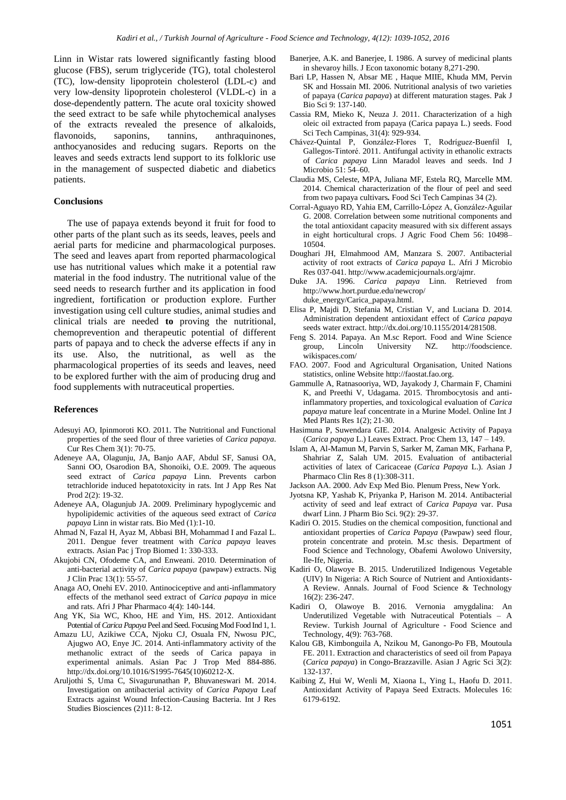Linn in Wistar rats lowered significantly fasting blood glucose (FBS), serum triglyceride (TG), total cholesterol (TC), low-density lipoprotein cholesterol (LDL-c) and very low-density lipoprotein cholesterol (VLDL-c) in a dose-dependently pattern. The acute oral toxicity showed the seed extract to be safe while phytochemical analyses of the extracts revealed the presence of alkaloids, flavonoids, saponins, tannins, anthraquinones, anthocyanosides and reducing sugars. Reports on the leaves and seeds extracts lend support to its folkloric use in the management of suspected diabetic and diabetics patients.

## **Conclusions**

The use of papaya extends beyond it fruit for food to other parts of the plant such as its seeds, leaves, peels and aerial parts for medicine and pharmacological purposes. The seed and leaves apart from reported pharmacological use has nutritional values which make it a potential raw material in the food industry. The nutritional value of the seed needs to research further and its application in food ingredient, fortification or production explore. Further investigation using cell culture studies, animal studies and clinical trials are needed **to** proving the nutritional, chemoprevention and therapeutic potential of different parts of papaya and to check the adverse effects if any in its use. Also, the nutritional, as well as the pharmacological properties of its seeds and leaves, need to be explored further with the aim of producing drug and food supplements with nutraceutical properties.

#### **References**

- Adesuyi AO, Ipinmoroti KO. 2011. The Nutritional and Functional properties of the seed flour of three varieties of *Carica papaya*. Cur Res Chem 3(1): 70-75.
- Adeneye AA, Olagunju, JA, Banjo AAF, Abdul SF, Sanusi OA, Sanni OO, Osarodion BA, Shonoiki, O.E. 2009. The aqueous seed extract of *Carica papaya* Linn. Prevents carbon tetrachloride induced hepatotoxicity in rats. Int J App Res Nat Prod 2(2): 19-32.
- Adeneye AA, Olagunjub JA. 2009. Preliminary hypoglycemic and hypolipidemic activities of the aqueous seed extract of *Carica papaya* Linn in wistar rats. Bio Med (1):1-10.
- Ahmad N, Fazal H, Ayaz M, Abbasi BH, Mohammad I and Fazal L. 2011. Dengue fever treatment with *Carica papaya* leaves extracts. Asian Pac j Trop Biomed 1: 330-333.
- Akujobi CN, Ofodeme CA, and Enweani. 2010. Determination of anti-bacterial activity of *Carica papaya* (pawpaw) extracts. Nig J Clin Prac 13(1): 55-57.
- Anaga AO, Onehi EV. 2010. Antinociceptive and anti-inflammatory effects of the methanol seed extract of *Carica papaya* in mice and rats. Afri J Phar Pharmaco 4(4): 140-144.
- Ang YK, Sia WC, Khoo, HE and Yim, HS. 2012. Antioxidant Potential of *Carica Papaya* Peel and Seed. Focusing Mod Food Ind 1, 1.
- Amazu LU, Azikiwe CCA, Njoku CJ, Osuala FN, Nwosu PJC, Ajugwo AO, Enye JC. 2014. Anti-inflammatory activity of the methanolic extract of the seeds of Carica papaya in experimental animals. Asian Pac J Trop Med 884-886. http://dx.doi.org/10.1016/S1995-7645(10)60212-X.
- Aruljothi S, Uma C, Sivagurunathan P, Bhuvaneswari M. 2014. Investigation on antibacterial activity of *Carica Papaya* Leaf Extracts against Wound Infection-Causing Bacteria. Int J Res Studies Biosciences (2)11: 8-12.
- Banerjee, A.K. and Banerjee, I. 1986. A survey of medicinal plants in shevaroy hills. J Econ taxonomic botany 8,271-290.
- Bari LP, Hassen N, Absar ME , Haque MIIE, Khuda MM, Pervin SK and Hossain MI. 2006. Nutritional analysis of two varieties of papaya (*Carica papaya*) at different maturation stages. Pak J Bio Sci 9: 137-140.
- Cassia RM, Mieko K, Neuza J. 2011. Characterization of a high oleic oil extracted from papaya (Carica papaya L.) seeds. Food Sci Tech Campinas, 31(4): 929-934.
- Chávez-Quintal P, González-Flores T, Rodríguez-Buenfil I, Gallegos-Tintoré. 2011. Antifungal activity in ethanolic extracts of *Carica papaya* Linn Maradol leaves and seeds. Ind J Microbio 51: 54–60.
- Claudia MS, Celeste, MPA, Juliana MF, Estela RQ, Marcelle MM. 2014. Chemical characterization of the flour of peel and seed from two papaya cultivars*.* Food Sci Tech Campinas 34 (2).
- Corral-Aguayo RD, Yahia EM, Carrillo-López A, González-Aguilar G. 2008. Correlation between some nutritional components and the total antioxidant capacity measured with six different assays in eight horticultural crops. J Agric Food Chem 56: 10498– 10504.
- Doughari JH, Elmahmood AM, Manzara S. 2007. Antibacterial activity of root extracts of *Carica papaya* L. Afri J Microbio Res 037-041. http://www.academicjournals.org/ajmr.
- Duke JA. 1996. *Carica papaya* Linn. Retrieved from http://www.hort.purdue.edu/newcrop/ duke\_energy/Carica\_papaya.html.
- Elisa P, Majdi D, Stefania M, Cristian V, and Luciana D. 2014. Administration dependent antioxidant effect of *Carica papaya* seeds water extract. http://dx.doi.org/10.1155/2014/281508.
- Feng S. 2014. Papaya. An M.sc Report. Food and Wine Science group, Lincoln University NZ. http://foodscience. wikispaces.com/
- FAO. 2007. Food and Agricultural Organisation, United Nations statistics, online Website http://faostat.fao.org.
- Gammulle A, Ratnasooriya, WD, Jayakody J, Charmain F, Chamini K, and Preethi V, Udagama. 2015. Thrombocytosis and antiinflammatory properties, and toxicological evaluation of *Carica papaya* mature leaf concentrate in a Murine Model. Online Int J Med Plants Res 1(2); 21-30.
- Hasimuna P, Suwendara GIE. 2014. Analgesic Activity of Papaya (*Carica papaya* L.) Leaves Extract. Proc Chem 13, 147 – 149.
- Islam A, Al-Mamun M, Parvin S, Sarker M, Zaman MK, Farhana P, Shahriar Z, Salah UM. 2015. Evaluation of antibacterial activities of latex of Caricaceae (*Carica Papaya* L.). Asian J Pharmaco Clin Res 8 (1):308-311.
- Jackson AA. 2000. Adv Exp Med Bio. Plenum Press, New York.
- Jyotsna KP, Yashab K, Priyanka P, Harison M. 2014. Antibacterial activity of seed and leaf extract of *Carica Papaya* var. Pusa dwarf Linn. J Pharm Bio Sci. 9(2): 29-37.
- Kadiri O. 2015. Studies on the chemical composition, functional and antioxidant properties of *Carica Papaya* (Pawpaw) seed flour, protein concentrate and protein. M.sc thesis. Department of Food Science and Technology, Obafemi Awolowo University, Ile-Ife, Nigeria.
- Kadiri O, Olawoye B. 2015. Underutilized Indigenous Vegetable (UIV) In Nigeria: A Rich Source of Nutrient and Antioxidants-A Review. Annals. Journal of Food Science & Technology 16(2): 236-247.
- Kadiri O, Olawoye B. 2016. Vernonia amygdalina: An Underutilized Vegetable with Nutraceutical Potentials – A Review. Turkish Journal of Agriculture - Food Science and Technology, 4(9): 763-768.
- Kalou GB, Kimbonguila A, Nzikou M, Ganongo-Po FB, Moutoula FE. 2011. Extraction and characteristics of seed oil from Papaya (*Carica papaya*) in Congo-Brazzaville. Asian J Agric Sci 3(2): 132-137.
- Kaibing Z, Hui W, Wenli M, Xiaona L, Ying L, Haofu D. 2011. Antioxidant Activity of Papaya Seed Extracts. Molecules 16: 6179-6192.